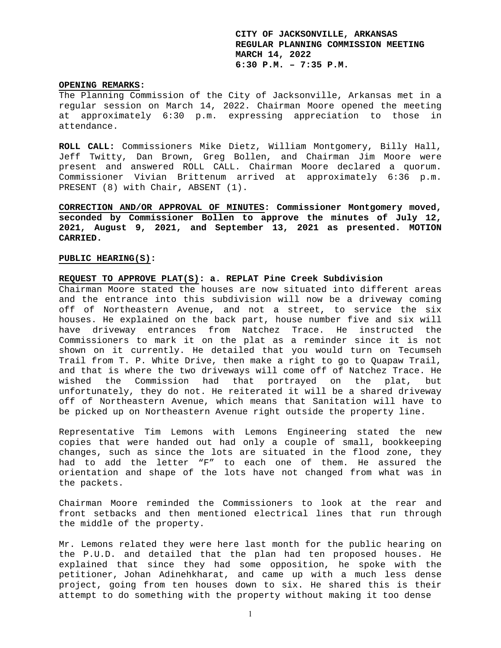#### **OPENING REMARKS:**

The Planning Commission of the City of Jacksonville, Arkansas met in a regular session on March 14, 2022. Chairman Moore opened the meeting at approximately 6:30 p.m. expressing appreciation to those in attendance.

**ROLL CALL:** Commissioners Mike Dietz, William Montgomery, Billy Hall, Jeff Twitty, Dan Brown, Greg Bollen, and Chairman Jim Moore were present and answered ROLL CALL. Chairman Moore declared a quorum. Commissioner Vivian Brittenum arrived at approximately 6:36 p.m. PRESENT (8) with Chair, ABSENT (1).

**CORRECTION AND/OR APPROVAL OF MINUTES: Commissioner Montgomery moved, seconded by Commissioner Bollen to approve the minutes of July 12, 2021, August 9, 2021, and September 13, 2021 as presented. MOTION CARRIED.** 

### **PUBLIC HEARING(S):**

### **REQUEST TO APPROVE PLAT(S): a. REPLAT Pine Creek Subdivision**

Chairman Moore stated the houses are now situated into different areas and the entrance into this subdivision will now be a driveway coming off of Northeastern Avenue, and not a street, to service the six houses. He explained on the back part, house number five and six will have driveway entrances from Natchez Trace. He instructed the Commissioners to mark it on the plat as a reminder since it is not shown on it currently. He detailed that you would turn on Tecumseh Trail from T. P. White Drive, then make a right to go to Quapaw Trail, and that is where the two driveways will come off of Natchez Trace. He wished the Commission had that portrayed on the plat, but unfortunately, they do not. He reiterated it will be a shared driveway off of Northeastern Avenue, which means that Sanitation will have to be picked up on Northeastern Avenue right outside the property line.

Representative Tim Lemons with Lemons Engineering stated the new copies that were handed out had only a couple of small, bookkeeping changes, such as since the lots are situated in the flood zone, they had to add the letter "F" to each one of them. He assured the orientation and shape of the lots have not changed from what was in the packets.

Chairman Moore reminded the Commissioners to look at the rear and front setbacks and then mentioned electrical lines that run through the middle of the property.

Mr. Lemons related they were here last month for the public hearing on the P.U.D. and detailed that the plan had ten proposed houses. He explained that since they had some opposition, he spoke with the petitioner, Johan Adinehkharat, and came up with a much less dense project, going from ten houses down to six. He shared this is their attempt to do something with the property without making it too dense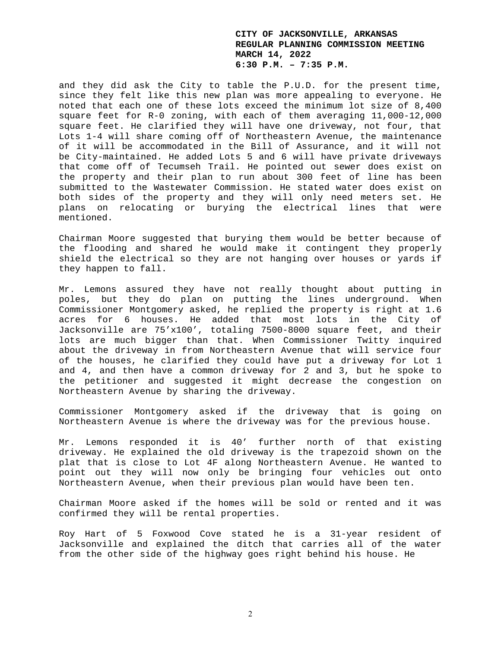and they did ask the City to table the P.U.D. for the present time, since they felt like this new plan was more appealing to everyone. He noted that each one of these lots exceed the minimum lot size of 8,400 square feet for R-0 zoning, with each of them averaging 11,000-12,000 square feet. He clarified they will have one driveway, not four, that Lots 1-4 will share coming off of Northeastern Avenue, the maintenance of it will be accommodated in the Bill of Assurance, and it will not be City-maintained. He added Lots 5 and 6 will have private driveways that come off of Tecumseh Trail. He pointed out sewer does exist on the property and their plan to run about 300 feet of line has been submitted to the Wastewater Commission. He stated water does exist on both sides of the property and they will only need meters set. He plans on relocating or burying the electrical lines that were mentioned.

Chairman Moore suggested that burying them would be better because of the flooding and shared he would make it contingent they properly shield the electrical so they are not hanging over houses or yards if they happen to fall.

Mr. Lemons assured they have not really thought about putting in poles, but they do plan on putting the lines underground. When Commissioner Montgomery asked, he replied the property is right at 1.6 acres for 6 houses. He added that most lots in the City of Jacksonville are 75'x100', totaling 7500-8000 square feet, and their lots are much bigger than that. When Commissioner Twitty inquired about the driveway in from Northeastern Avenue that will service four of the houses, he clarified they could have put a driveway for Lot 1 and 4, and then have a common driveway for 2 and 3, but he spoke to the petitioner and suggested it might decrease the congestion on Northeastern Avenue by sharing the driveway.

Commissioner Montgomery asked if the driveway that is going on Northeastern Avenue is where the driveway was for the previous house.

Mr. Lemons responded it is 40' further north of that existing driveway. He explained the old driveway is the trapezoid shown on the plat that is close to Lot 4F along Northeastern Avenue. He wanted to point out they will now only be bringing four vehicles out onto Northeastern Avenue, when their previous plan would have been ten.

Chairman Moore asked if the homes will be sold or rented and it was confirmed they will be rental properties.

Roy Hart of 5 Foxwood Cove stated he is a 31-year resident of Jacksonville and explained the ditch that carries all of the water from the other side of the highway goes right behind his house. He

2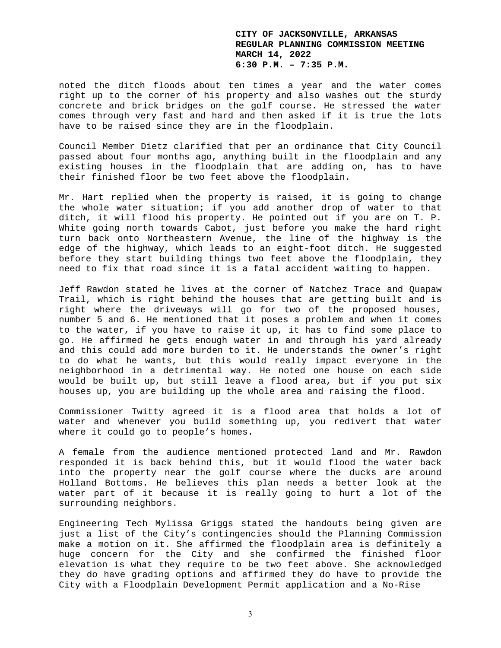noted the ditch floods about ten times a year and the water comes right up to the corner of his property and also washes out the sturdy concrete and brick bridges on the golf course. He stressed the water comes through very fast and hard and then asked if it is true the lots have to be raised since they are in the floodplain.

Council Member Dietz clarified that per an ordinance that City Council passed about four months ago, anything built in the floodplain and any existing houses in the floodplain that are adding on, has to have their finished floor be two feet above the floodplain.

Mr. Hart replied when the property is raised, it is going to change the whole water situation; if you add another drop of water to that ditch, it will flood his property. He pointed out if you are on T. P. White going north towards Cabot, just before you make the hard right turn back onto Northeastern Avenue, the line of the highway is the edge of the highway, which leads to an eight-foot ditch. He suggested before they start building things two feet above the floodplain, they need to fix that road since it is a fatal accident waiting to happen.

Jeff Rawdon stated he lives at the corner of Natchez Trace and Quapaw Trail, which is right behind the houses that are getting built and is right where the driveways will go for two of the proposed houses, number 5 and 6. He mentioned that it poses a problem and when it comes to the water, if you have to raise it up, it has to find some place to go. He affirmed he gets enough water in and through his yard already and this could add more burden to it. He understands the owner's right to do what he wants, but this would really impact everyone in the neighborhood in a detrimental way. He noted one house on each side would be built up, but still leave a flood area, but if you put six houses up, you are building up the whole area and raising the flood.

Commissioner Twitty agreed it is a flood area that holds a lot of water and whenever you build something up, you redivert that water where it could go to people's homes.

A female from the audience mentioned protected land and Mr. Rawdon responded it is back behind this, but it would flood the water back into the property near the golf course where the ducks are around Holland Bottoms. He believes this plan needs a better look at the water part of it because it is really going to hurt a lot of the surrounding neighbors.

Engineering Tech Mylissa Griggs stated the handouts being given are just a list of the City's contingencies should the Planning Commission make a motion on it. She affirmed the floodplain area is definitely a huge concern for the City and she confirmed the finished floor elevation is what they require to be two feet above. She acknowledged they do have grading options and affirmed they do have to provide the City with a Floodplain Development Permit application and a No-Rise

3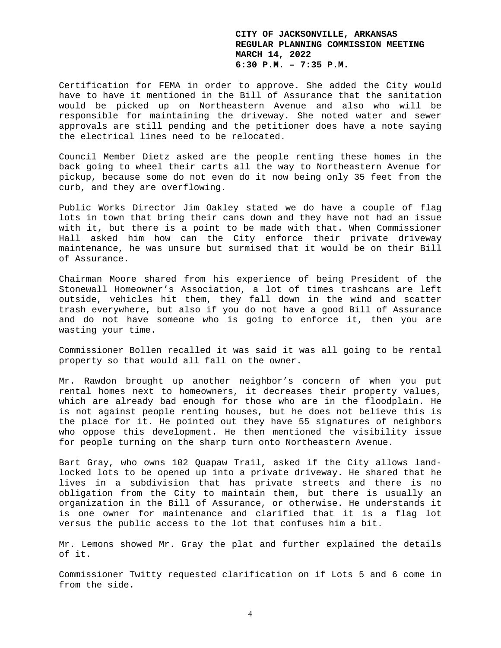Certification for FEMA in order to approve. She added the City would have to have it mentioned in the Bill of Assurance that the sanitation would be picked up on Northeastern Avenue and also who will be responsible for maintaining the driveway. She noted water and sewer approvals are still pending and the petitioner does have a note saying the electrical lines need to be relocated.

Council Member Dietz asked are the people renting these homes in the back going to wheel their carts all the way to Northeastern Avenue for pickup, because some do not even do it now being only 35 feet from the curb, and they are overflowing.

Public Works Director Jim Oakley stated we do have a couple of flag lots in town that bring their cans down and they have not had an issue with it, but there is a point to be made with that. When Commissioner Hall asked him how can the City enforce their private driveway maintenance, he was unsure but surmised that it would be on their Bill of Assurance.

Chairman Moore shared from his experience of being President of the Stonewall Homeowner's Association, a lot of times trashcans are left outside, vehicles hit them, they fall down in the wind and scatter trash everywhere, but also if you do not have a good Bill of Assurance and do not have someone who is going to enforce it, then you are wasting your time.

Commissioner Bollen recalled it was said it was all going to be rental property so that would all fall on the owner.

Mr. Rawdon brought up another neighbor's concern of when you put rental homes next to homeowners, it decreases their property values, which are already bad enough for those who are in the floodplain. He is not against people renting houses, but he does not believe this is the place for it. He pointed out they have 55 signatures of neighbors who oppose this development. He then mentioned the visibility issue for people turning on the sharp turn onto Northeastern Avenue.

Bart Gray, who owns 102 Quapaw Trail, asked if the City allows landlocked lots to be opened up into a private driveway. He shared that he lives in a subdivision that has private streets and there is no obligation from the City to maintain them, but there is usually an organization in the Bill of Assurance, or otherwise. He understands it is one owner for maintenance and clarified that it is a flag lot versus the public access to the lot that confuses him a bit.

Mr. Lemons showed Mr. Gray the plat and further explained the details of it.

Commissioner Twitty requested clarification on if Lots 5 and 6 come in from the side.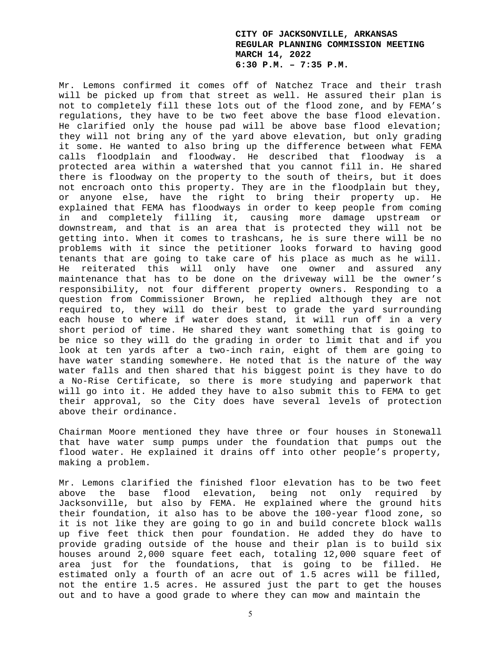Mr. Lemons confirmed it comes off of Natchez Trace and their trash will be picked up from that street as well. He assured their plan is not to completely fill these lots out of the flood zone, and by FEMA's regulations, they have to be two feet above the base flood elevation. He clarified only the house pad will be above base flood elevation; they will not bring any of the yard above elevation, but only grading it some. He wanted to also bring up the difference between what FEMA calls floodplain and floodway. He described that floodway is a protected area within a watershed that you cannot fill in. He shared there is floodway on the property to the south of theirs, but it does not encroach onto this property. They are in the floodplain but they, or anyone else, have the right to bring their property up. He explained that FEMA has floodways in order to keep people from coming in and completely filling it, causing more damage upstream or downstream, and that is an area that is protected they will not be getting into. When it comes to trashcans, he is sure there will be no problems with it since the petitioner looks forward to having good tenants that are going to take care of his place as much as he will. He reiterated this will only have one owner and assured any maintenance that has to be done on the driveway will be the owner's responsibility, not four different property owners. Responding to a question from Commissioner Brown, he replied although they are not required to, they will do their best to grade the yard surrounding each house to where if water does stand, it will run off in a very short period of time. He shared they want something that is going to be nice so they will do the grading in order to limit that and if you look at ten yards after a two-inch rain, eight of them are going to have water standing somewhere. He noted that is the nature of the way water falls and then shared that his biggest point is they have to do a No-Rise Certificate, so there is more studying and paperwork that will go into it. He added they have to also submit this to FEMA to get their approval, so the City does have several levels of protection above their ordinance.

Chairman Moore mentioned they have three or four houses in Stonewall that have water sump pumps under the foundation that pumps out the flood water. He explained it drains off into other people's property, making a problem.

Mr. Lemons clarified the finished floor elevation has to be two feet above the base flood elevation, being not only required by Jacksonville, but also by FEMA. He explained where the ground hits their foundation, it also has to be above the 100-year flood zone, so it is not like they are going to go in and build concrete block walls up five feet thick then pour foundation. He added they do have to provide grading outside of the house and their plan is to build six houses around 2,000 square feet each, totaling 12,000 square feet of area just for the foundations, that is going to be filled. He estimated only a fourth of an acre out of 1.5 acres will be filled, not the entire 1.5 acres. He assured just the part to get the houses out and to have a good grade to where they can mow and maintain the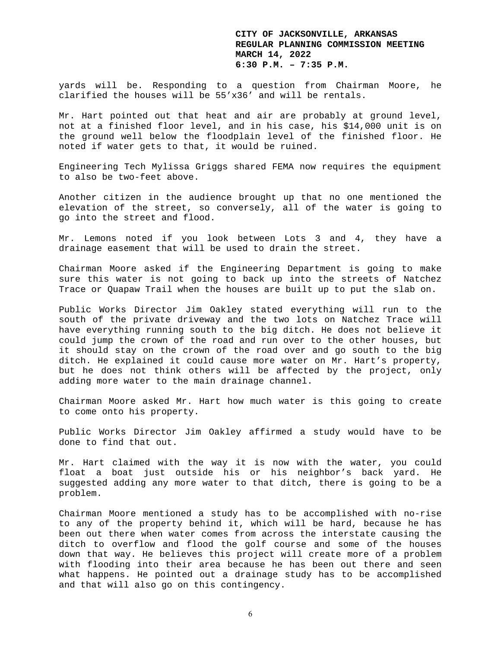yards will be. Responding to a question from Chairman Moore, he clarified the houses will be 55'x36' and will be rentals.

Mr. Hart pointed out that heat and air are probably at ground level, not at a finished floor level, and in his case, his \$14,000 unit is on the ground well below the floodplain level of the finished floor. He noted if water gets to that, it would be ruined.

Engineering Tech Mylissa Griggs shared FEMA now requires the equipment to also be two-feet above.

Another citizen in the audience brought up that no one mentioned the elevation of the street, so conversely, all of the water is going to go into the street and flood.

Mr. Lemons noted if you look between Lots 3 and 4, they have a drainage easement that will be used to drain the street.

Chairman Moore asked if the Engineering Department is going to make sure this water is not going to back up into the streets of Natchez Trace or Quapaw Trail when the houses are built up to put the slab on.

Public Works Director Jim Oakley stated everything will run to the south of the private driveway and the two lots on Natchez Trace will have everything running south to the big ditch. He does not believe it could jump the crown of the road and run over to the other houses, but it should stay on the crown of the road over and go south to the big ditch. He explained it could cause more water on Mr. Hart's property, but he does not think others will be affected by the project, only adding more water to the main drainage channel.

Chairman Moore asked Mr. Hart how much water is this going to create to come onto his property.

Public Works Director Jim Oakley affirmed a study would have to be done to find that out.

Mr. Hart claimed with the way it is now with the water, you could float a boat just outside his or his neighbor's back yard. He suggested adding any more water to that ditch, there is going to be a problem.

Chairman Moore mentioned a study has to be accomplished with no-rise to any of the property behind it, which will be hard, because he has been out there when water comes from across the interstate causing the ditch to overflow and flood the golf course and some of the houses down that way. He believes this project will create more of a problem with flooding into their area because he has been out there and seen what happens. He pointed out a drainage study has to be accomplished and that will also go on this contingency.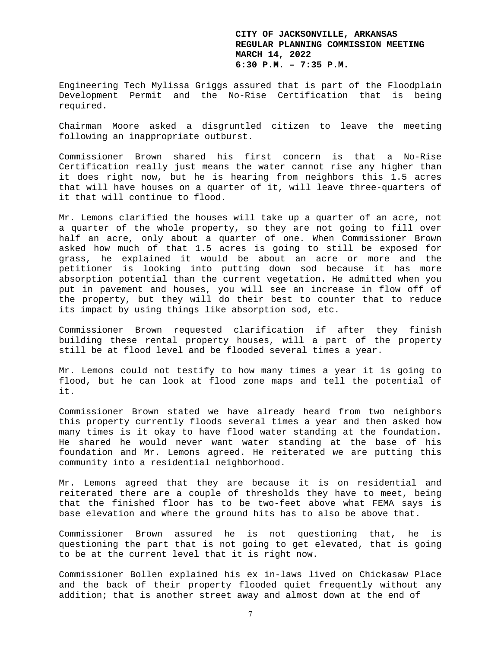Engineering Tech Mylissa Griggs assured that is part of the Floodplain Development Permit and the No-Rise Certification that is being required.

Chairman Moore asked a disgruntled citizen to leave the meeting following an inappropriate outburst.

Commissioner Brown shared his first concern is that a No-Rise Certification really just means the water cannot rise any higher than it does right now, but he is hearing from neighbors this 1.5 acres that will have houses on a quarter of it, will leave three-quarters of it that will continue to flood.

Mr. Lemons clarified the houses will take up a quarter of an acre, not a quarter of the whole property, so they are not going to fill over half an acre, only about a quarter of one. When Commissioner Brown asked how much of that 1.5 acres is going to still be exposed for grass, he explained it would be about an acre or more and the petitioner is looking into putting down sod because it has more absorption potential than the current vegetation. He admitted when you put in pavement and houses, you will see an increase in flow off of the property, but they will do their best to counter that to reduce its impact by using things like absorption sod, etc.

Commissioner Brown requested clarification if after they finish building these rental property houses, will a part of the property still be at flood level and be flooded several times a year.

Mr. Lemons could not testify to how many times a year it is going to flood, but he can look at flood zone maps and tell the potential of it.

Commissioner Brown stated we have already heard from two neighbors this property currently floods several times a year and then asked how many times is it okay to have flood water standing at the foundation. He shared he would never want water standing at the base of his foundation and Mr. Lemons agreed. He reiterated we are putting this community into a residential neighborhood.

Mr. Lemons agreed that they are because it is on residential and reiterated there are a couple of thresholds they have to meet, being that the finished floor has to be two-feet above what FEMA says is base elevation and where the ground hits has to also be above that.

Commissioner Brown assured he is not questioning that, he is questioning the part that is not going to get elevated, that is going to be at the current level that it is right now.

Commissioner Bollen explained his ex in-laws lived on Chickasaw Place and the back of their property flooded quiet frequently without any addition; that is another street away and almost down at the end of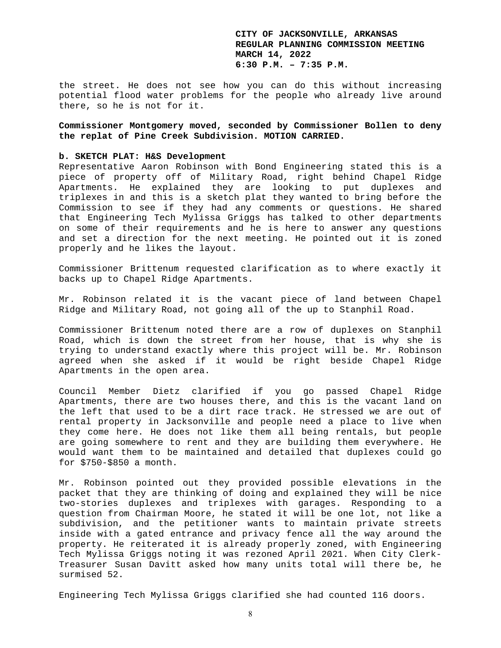the street. He does not see how you can do this without increasing potential flood water problems for the people who already live around there, so he is not for it.

**Commissioner Montgomery moved, seconded by Commissioner Bollen to deny the replat of Pine Creek Subdivision. MOTION CARRIED.** 

#### **b. SKETCH PLAT: H&S Development**

Representative Aaron Robinson with Bond Engineering stated this is a piece of property off of Military Road, right behind Chapel Ridge Apartments. He explained they are looking to put duplexes and triplexes in and this is a sketch plat they wanted to bring before the Commission to see if they had any comments or questions. He shared that Engineering Tech Mylissa Griggs has talked to other departments on some of their requirements and he is here to answer any questions and set a direction for the next meeting. He pointed out it is zoned properly and he likes the layout.

Commissioner Brittenum requested clarification as to where exactly it backs up to Chapel Ridge Apartments.

Mr. Robinson related it is the vacant piece of land between Chapel Ridge and Military Road, not going all of the up to Stanphil Road.

Commissioner Brittenum noted there are a row of duplexes on Stanphil Road, which is down the street from her house, that is why she is trying to understand exactly where this project will be. Mr. Robinson agreed when she asked if it would be right beside Chapel Ridge Apartments in the open area.

Council Member Dietz clarified if you go passed Chapel Ridge Apartments, there are two houses there, and this is the vacant land on the left that used to be a dirt race track. He stressed we are out of rental property in Jacksonville and people need a place to live when they come here. He does not like them all being rentals, but people are going somewhere to rent and they are building them everywhere. He would want them to be maintained and detailed that duplexes could go for \$750-\$850 a month.

Mr. Robinson pointed out they provided possible elevations in the packet that they are thinking of doing and explained they will be nice two-stories duplexes and triplexes with garages. Responding to a question from Chairman Moore, he stated it will be one lot, not like a subdivision, and the petitioner wants to maintain private streets inside with a gated entrance and privacy fence all the way around the property. He reiterated it is already properly zoned, with Engineering Tech Mylissa Griggs noting it was rezoned April 2021. When City Clerk-Treasurer Susan Davitt asked how many units total will there be, he surmised 52.

Engineering Tech Mylissa Griggs clarified she had counted 116 doors.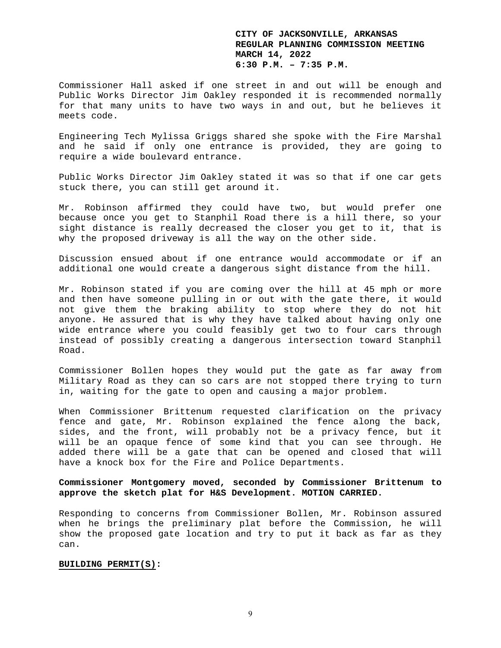Commissioner Hall asked if one street in and out will be enough and Public Works Director Jim Oakley responded it is recommended normally for that many units to have two ways in and out, but he believes it meets code.

Engineering Tech Mylissa Griggs shared she spoke with the Fire Marshal and he said if only one entrance is provided, they are going to require a wide boulevard entrance.

Public Works Director Jim Oakley stated it was so that if one car gets stuck there, you can still get around it.

Mr. Robinson affirmed they could have two, but would prefer one because once you get to Stanphil Road there is a hill there, so your sight distance is really decreased the closer you get to it, that is why the proposed driveway is all the way on the other side.

Discussion ensued about if one entrance would accommodate or if an additional one would create a dangerous sight distance from the hill.

Mr. Robinson stated if you are coming over the hill at 45 mph or more and then have someone pulling in or out with the gate there, it would not give them the braking ability to stop where they do not hit anyone. He assured that is why they have talked about having only one wide entrance where you could feasibly get two to four cars through instead of possibly creating a dangerous intersection toward Stanphil Road.

Commissioner Bollen hopes they would put the gate as far away from Military Road as they can so cars are not stopped there trying to turn in, waiting for the gate to open and causing a major problem.

When Commissioner Brittenum requested clarification on the privacy fence and gate, Mr. Robinson explained the fence along the back, sides, and the front, will probably not be a privacy fence, but it will be an opaque fence of some kind that you can see through. He added there will be a gate that can be opened and closed that will have a knock box for the Fire and Police Departments.

**Commissioner Montgomery moved, seconded by Commissioner Brittenum to approve the sketch plat for H&S Development. MOTION CARRIED.** 

Responding to concerns from Commissioner Bollen, Mr. Robinson assured when he brings the preliminary plat before the Commission, he will show the proposed gate location and try to put it back as far as they can.

#### **BUILDING PERMIT(S):**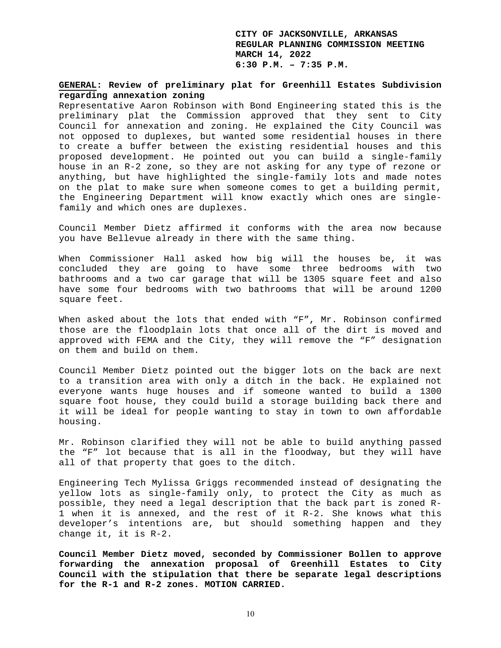# **GENERAL: Review of preliminary plat for Greenhill Estates Subdivision regarding annexation zoning**

Representative Aaron Robinson with Bond Engineering stated this is the preliminary plat the Commission approved that they sent to City Council for annexation and zoning. He explained the City Council was not opposed to duplexes, but wanted some residential houses in there to create a buffer between the existing residential houses and this proposed development. He pointed out you can build a single-family house in an R-2 zone, so they are not asking for any type of rezone or anything, but have highlighted the single-family lots and made notes on the plat to make sure when someone comes to get a building permit, the Engineering Department will know exactly which ones are singlefamily and which ones are duplexes.

Council Member Dietz affirmed it conforms with the area now because you have Bellevue already in there with the same thing.

When Commissioner Hall asked how big will the houses be, it was concluded they are going to have some three bedrooms with two bathrooms and a two car garage that will be 1305 square feet and also have some four bedrooms with two bathrooms that will be around 1200 square feet.

When asked about the lots that ended with "F", Mr. Robinson confirmed those are the floodplain lots that once all of the dirt is moved and approved with FEMA and the City, they will remove the "F" designation on them and build on them.

Council Member Dietz pointed out the bigger lots on the back are next to a transition area with only a ditch in the back. He explained not everyone wants huge houses and if someone wanted to build a 1300 square foot house, they could build a storage building back there and it will be ideal for people wanting to stay in town to own affordable housing.

Mr. Robinson clarified they will not be able to build anything passed the "F" lot because that is all in the floodway, but they will have all of that property that goes to the ditch.

Engineering Tech Mylissa Griggs recommended instead of designating the yellow lots as single-family only, to protect the City as much as possible, they need a legal description that the back part is zoned R-1 when it is annexed, and the rest of it R-2. She knows what this developer's intentions are, but should something happen and they change it, it is R-2.

**Council Member Dietz moved, seconded by Commissioner Bollen to approve forwarding the annexation proposal of Greenhill Estates to City Council with the stipulation that there be separate legal descriptions for the R-1 and R-2 zones. MOTION CARRIED.**